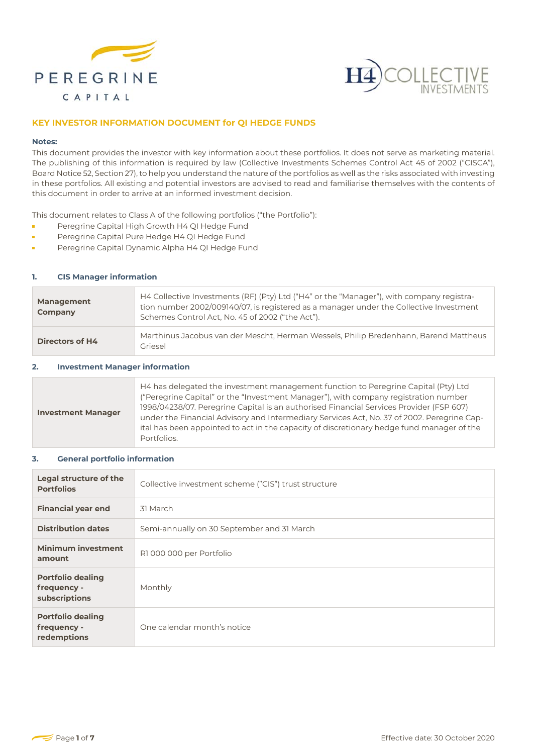



# **KEY INVESTOR INFORMATION DOCUMENT for QI HEDGE FUNDS**

#### **Notes:**

This document provides the investor with key information about these portfolios. It does not serve as marketing material. The publishing of this information is required by law (Collective Investments Schemes Control Act 45 of 2002 ("CISCA"), Board Notice 52, Section 27), to help you understand the nature of the portfolios as well as the risks associated with investing in these portfolios. All existing and potential investors are advised to read and familiarise themselves with the contents of this document in order to arrive at an informed investment decision.

This document relates to Class A of the following portfolios ("the Portfolio"):

- Peregrine Capital High Growth H4 QI Hedge Fund ř.
- Peregrine Capital Pure Hedge H4 QI Hedge Fund É
- Peregrine Capital Dynamic Alpha H4 QI Hedge Fund ř.

### **1. CIS Manager information**

| <b>Management</b><br>Company | H4 Collective Investments (RF) (Pty) Ltd ("H4" or the "Manager"), with company registra-<br>tion number 2002/009140/07, is registered as a manager under the Collective Investment<br>Schemes Control Act, No. 45 of 2002 ("the Act"). |
|------------------------------|----------------------------------------------------------------------------------------------------------------------------------------------------------------------------------------------------------------------------------------|
| <b>Directors of H4</b>       | Marthinus Jacobus van der Mescht, Herman Wessels, Philip Bredenhann, Barend Mattheus<br>Griesel                                                                                                                                        |

### **2. Investment Manager information**

| <b>Investment Manager</b> | H4 has delegated the investment management function to Peregrine Capital (Pty) Ltd<br>("Peregrine Capital" or the "Investment Manager"), with company registration number<br>1998/04238/07. Peregrine Capital is an authorised Financial Services Provider (FSP 607)<br>under the Financial Advisory and Intermediary Services Act, No. 37 of 2002. Peregrine Cap-<br>ital has been appointed to act in the capacity of discretionary hedge fund manager of the<br>Portfolios. |
|---------------------------|--------------------------------------------------------------------------------------------------------------------------------------------------------------------------------------------------------------------------------------------------------------------------------------------------------------------------------------------------------------------------------------------------------------------------------------------------------------------------------|
|---------------------------|--------------------------------------------------------------------------------------------------------------------------------------------------------------------------------------------------------------------------------------------------------------------------------------------------------------------------------------------------------------------------------------------------------------------------------------------------------------------------------|

### **3. General portfolio information**

| Legal structure of the<br><b>Portfolios</b>              | Collective investment scheme ("CIS") trust structure |
|----------------------------------------------------------|------------------------------------------------------|
| <b>Financial year end</b>                                | 31 March                                             |
| <b>Distribution dates</b>                                | Semi-annually on 30 September and 31 March           |
| <b>Minimum investment</b><br>amount                      | R1 000 000 per Portfolio                             |
| <b>Portfolio dealing</b><br>frequency -<br>subscriptions | Monthly                                              |
| <b>Portfolio dealing</b><br>frequency -<br>redemptions   | One calendar month's notice                          |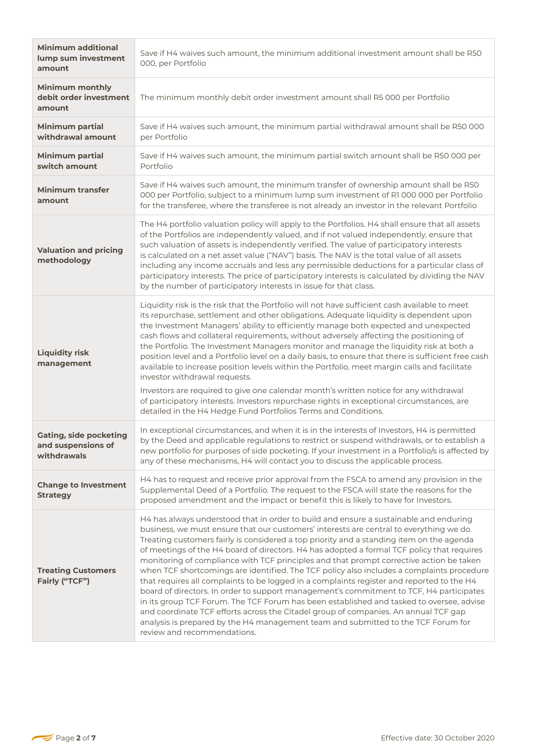| <b>Minimum additional</b><br>lump sum investment<br>amount         | Save if H4 waives such amount, the minimum additional investment amount shall be R50<br>000, per Portfolio                                                                                                                                                                                                                                                                                                                                                                                                                                                                                                                                                                                                                                                                                                                                                                                                                                                                                                                                                        |  |  |
|--------------------------------------------------------------------|-------------------------------------------------------------------------------------------------------------------------------------------------------------------------------------------------------------------------------------------------------------------------------------------------------------------------------------------------------------------------------------------------------------------------------------------------------------------------------------------------------------------------------------------------------------------------------------------------------------------------------------------------------------------------------------------------------------------------------------------------------------------------------------------------------------------------------------------------------------------------------------------------------------------------------------------------------------------------------------------------------------------------------------------------------------------|--|--|
| <b>Minimum monthly</b><br>debit order investment<br>amount         | The minimum monthly debit order investment amount shall R5 000 per Portfolio                                                                                                                                                                                                                                                                                                                                                                                                                                                                                                                                                                                                                                                                                                                                                                                                                                                                                                                                                                                      |  |  |
| <b>Minimum partial</b><br>withdrawal amount                        | Save if H4 waives such amount, the minimum partial withdrawal amount shall be R50 000<br>per Portfolio                                                                                                                                                                                                                                                                                                                                                                                                                                                                                                                                                                                                                                                                                                                                                                                                                                                                                                                                                            |  |  |
| <b>Minimum partial</b><br>switch amount                            | Save if H4 waives such amount, the minimum partial switch amount shall be R50 000 per<br>Portfolio                                                                                                                                                                                                                                                                                                                                                                                                                                                                                                                                                                                                                                                                                                                                                                                                                                                                                                                                                                |  |  |
| <b>Minimum transfer</b><br>amount                                  | Save if H4 waives such amount, the minimum transfer of ownership amount shall be R50<br>000 per Portfolio, subject to a minimum lump sum investment of R1 000 000 per Portfolio<br>for the transferee, where the transferee is not already an investor in the relevant Portfolio                                                                                                                                                                                                                                                                                                                                                                                                                                                                                                                                                                                                                                                                                                                                                                                  |  |  |
| <b>Valuation and pricing</b><br>methodology                        | The H4 portfolio valuation policy will apply to the Portfolios. H4 shall ensure that all assets<br>of the Portfolios are independently valued, and if not valued independently, ensure that<br>such valuation of assets is independently verified. The value of participatory interests<br>is calculated on a net asset value ("NAV") basis. The NAV is the total value of all assets<br>including any income accruals and less any permissible deductions for a particular class of<br>participatory interests. The price of participatory interests is calculated by dividing the NAV<br>by the number of participatory interests in issue for that class.                                                                                                                                                                                                                                                                                                                                                                                                      |  |  |
| <b>Liquidity risk</b><br>management                                | Liquidity risk is the risk that the Portfolio will not have sufficient cash available to meet<br>its repurchase, settlement and other obligations. Adequate liquidity is dependent upon<br>the Investment Managers' ability to efficiently manage both expected and unexpected<br>cash flows and collateral requirements, without adversely affecting the positioning of<br>the Portfolio. The Investment Managers monitor and manage the liquidity risk at both a<br>position level and a Portfolio level on a daily basis, to ensure that there is sufficient free cash<br>available to increase position levels within the Portfolio, meet margin calls and facilitate<br>investor withdrawal requests.<br>Investors are required to give one calendar month's written notice for any withdrawal<br>of participatory interests. Investors repurchase rights in exceptional circumstances, are<br>detailed in the H4 Hedge Fund Portfolios Terms and Conditions.                                                                                                |  |  |
| <b>Gating, side pocketing</b><br>and suspensions of<br>withdrawals | In exceptional circumstances, and when it is in the interests of Investors, H4 is permitted<br>by the Deed and applicable regulations to restrict or suspend withdrawals, or to establish a<br>new portfolio for purposes of side pocketing. If your investment in a Portfolio/s is affected by<br>any of these mechanisms, H4 will contact you to discuss the applicable process.                                                                                                                                                                                                                                                                                                                                                                                                                                                                                                                                                                                                                                                                                |  |  |
| <b>Change to Investment</b><br><b>Strategy</b>                     | H4 has to request and receive prior approval from the FSCA to amend any provision in the<br>Supplemental Deed of a Portfolio. The request to the FSCA will state the reasons for the<br>proposed amendment and the impact or benefit this is likely to have for Investors.                                                                                                                                                                                                                                                                                                                                                                                                                                                                                                                                                                                                                                                                                                                                                                                        |  |  |
| <b>Treating Customers</b><br>Fairly ("TCF")                        | H4 has always understood that in order to build and ensure a sustainable and enduring<br>business, we must ensure that our customers' interests are central to everything we do.<br>Treating customers fairly is considered a top priority and a standing item on the agenda<br>of meetings of the H4 board of directors. H4 has adopted a formal TCF policy that requires<br>monitoring of compliance with TCF principles and that prompt corrective action be taken<br>when TCF shortcomings are identified. The TCF policy also includes a complaints procedure<br>that requires all complaints to be logged in a complaints register and reported to the H4<br>board of directors. In order to support management's commitment to TCF, H4 participates<br>in its group TCF Forum. The TCF Forum has been established and tasked to oversee, advise<br>and coordinate TCF efforts across the Citadel group of companies. An annual TCF gap<br>analysis is prepared by the H4 management team and submitted to the TCF Forum for<br>review and recommendations. |  |  |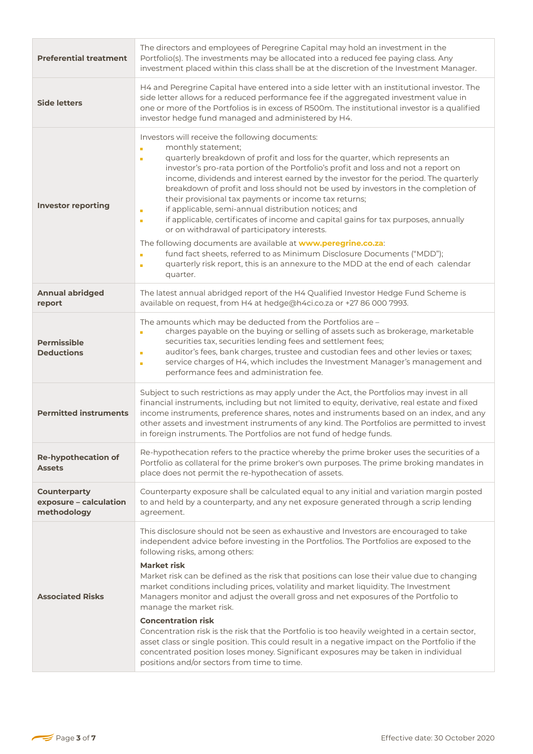| <b>Preferential treatment</b>                                                                                                                                                                                                                                                                                                                                                                                                                                                                                                                                                                                                                                                                                                                                                                                                                                                                                                                                                                       | The directors and employees of Peregrine Capital may hold an investment in the<br>Portfolio(s). The investments may be allocated into a reduced fee paying class. Any<br>investment placed within this class shall be at the discretion of the Investment Manager.                                                                                                                                                                                                                                                                                                                                                                                                                                                                                                                                                                                                                                                      |  |  |
|-----------------------------------------------------------------------------------------------------------------------------------------------------------------------------------------------------------------------------------------------------------------------------------------------------------------------------------------------------------------------------------------------------------------------------------------------------------------------------------------------------------------------------------------------------------------------------------------------------------------------------------------------------------------------------------------------------------------------------------------------------------------------------------------------------------------------------------------------------------------------------------------------------------------------------------------------------------------------------------------------------|-------------------------------------------------------------------------------------------------------------------------------------------------------------------------------------------------------------------------------------------------------------------------------------------------------------------------------------------------------------------------------------------------------------------------------------------------------------------------------------------------------------------------------------------------------------------------------------------------------------------------------------------------------------------------------------------------------------------------------------------------------------------------------------------------------------------------------------------------------------------------------------------------------------------------|--|--|
| <b>Side letters</b>                                                                                                                                                                                                                                                                                                                                                                                                                                                                                                                                                                                                                                                                                                                                                                                                                                                                                                                                                                                 | H4 and Peregrine Capital have entered into a side letter with an institutional investor. The<br>side letter allows for a reduced performance fee if the aggregated investment value in<br>one or more of the Portfolios is in excess of R500m. The institutional investor is a qualified<br>investor hedge fund managed and administered by H4.                                                                                                                                                                                                                                                                                                                                                                                                                                                                                                                                                                         |  |  |
| Investors will receive the following documents:<br>monthly statement;<br>Ē,<br>quarterly breakdown of profit and loss for the quarter, which represents an<br>Ē<br>investor's pro-rata portion of the Portfolio's profit and loss and not a report on<br>income, dividends and interest earned by the investor for the period. The quarterly<br>breakdown of profit and loss should not be used by investors in the completion of<br>their provisional tax payments or income tax returns;<br><b>Investor reporting</b><br>if applicable, semi-annual distribution notices; and<br>n,<br>if applicable, certificates of income and capital gains for tax purposes, annually<br>$\blacksquare$<br>or on withdrawal of participatory interests.<br>The following documents are available at www.peregrine.co.za:<br>fund fact sheets, referred to as Minimum Disclosure Documents ("MDD");<br>Ē<br>quarterly risk report, this is an annexure to the MDD at the end of each calendar<br>г<br>quarter. |                                                                                                                                                                                                                                                                                                                                                                                                                                                                                                                                                                                                                                                                                                                                                                                                                                                                                                                         |  |  |
| <b>Annual abridged</b><br>report                                                                                                                                                                                                                                                                                                                                                                                                                                                                                                                                                                                                                                                                                                                                                                                                                                                                                                                                                                    | The latest annual abridged report of the H4 Qualified Investor Hedge Fund Scheme is<br>available on request, from H4 at hedge@h4ci.co.za or +27 86 000 7993.                                                                                                                                                                                                                                                                                                                                                                                                                                                                                                                                                                                                                                                                                                                                                            |  |  |
| <b>Permissible</b><br><b>Deductions</b>                                                                                                                                                                                                                                                                                                                                                                                                                                                                                                                                                                                                                                                                                                                                                                                                                                                                                                                                                             | The amounts which may be deducted from the Portfolios are -<br>charges payable on the buying or selling of assets such as brokerage, marketable<br>Ē.<br>securities tax, securities lending fees and settlement fees;<br>auditor's fees, bank charges, trustee and custodian fees and other levies or taxes;<br>Ē,<br>service charges of H4, which includes the Investment Manager's management and<br>Ē,<br>performance fees and administration fee.                                                                                                                                                                                                                                                                                                                                                                                                                                                                   |  |  |
| <b>Permitted instruments</b>                                                                                                                                                                                                                                                                                                                                                                                                                                                                                                                                                                                                                                                                                                                                                                                                                                                                                                                                                                        | Subject to such restrictions as may apply under the Act, the Portfolios may invest in all<br>financial instruments, including but not limited to equity, derivative, real estate and fixed<br>income instruments, preference shares, notes and instruments based on an index, and any<br>other assets and investment instruments of any kind. The Portfolios are permitted to invest<br>in foreign instruments. The Portfolios are not fund of hedge funds.                                                                                                                                                                                                                                                                                                                                                                                                                                                             |  |  |
| <b>Re-hypothecation of</b><br><b>Assets</b>                                                                                                                                                                                                                                                                                                                                                                                                                                                                                                                                                                                                                                                                                                                                                                                                                                                                                                                                                         | Re-hypothecation refers to the practice whereby the prime broker uses the securities of a<br>Portfolio as collateral for the prime broker's own purposes. The prime broking mandates in<br>place does not permit the re-hypothecation of assets.                                                                                                                                                                                                                                                                                                                                                                                                                                                                                                                                                                                                                                                                        |  |  |
| <b>Counterparty</b><br>exposure - calculation<br>methodology                                                                                                                                                                                                                                                                                                                                                                                                                                                                                                                                                                                                                                                                                                                                                                                                                                                                                                                                        | Counterparty exposure shall be calculated equal to any initial and variation margin posted<br>to and held by a counterparty, and any net exposure generated through a scrip lending<br>agreement.                                                                                                                                                                                                                                                                                                                                                                                                                                                                                                                                                                                                                                                                                                                       |  |  |
| <b>Associated Risks</b>                                                                                                                                                                                                                                                                                                                                                                                                                                                                                                                                                                                                                                                                                                                                                                                                                                                                                                                                                                             | This disclosure should not be seen as exhaustive and Investors are encouraged to take<br>independent advice before investing in the Portfolios. The Portfolios are exposed to the<br>following risks, among others:<br><b>Market risk</b><br>Market risk can be defined as the risk that positions can lose their value due to changing<br>market conditions including prices, volatility and market liquidity. The Investment<br>Managers monitor and adjust the overall gross and net exposures of the Portfolio to<br>manage the market risk.<br><b>Concentration risk</b><br>Concentration risk is the risk that the Portfolio is too heavily weighted in a certain sector,<br>asset class or single position. This could result in a negative impact on the Portfolio if the<br>concentrated position loses money. Significant exposures may be taken in individual<br>positions and/or sectors from time to time. |  |  |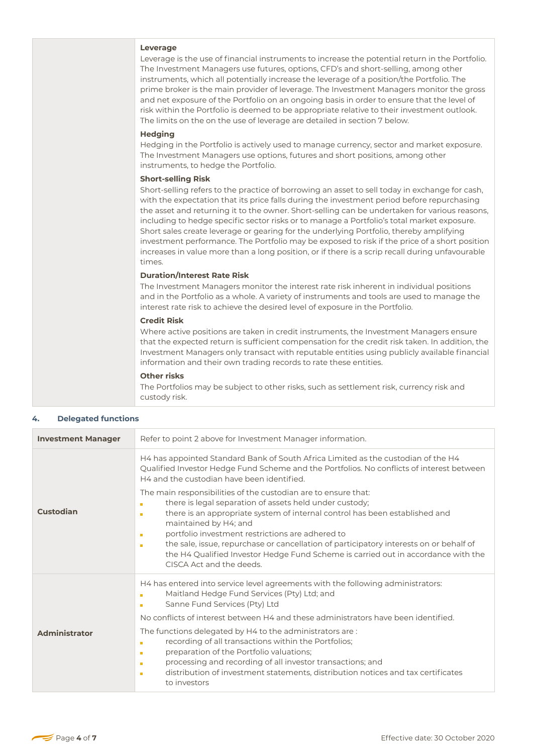|                            | Leverage<br>Leverage is the use of financial instruments to increase the potential return in the Portfolio.<br>The Investment Managers use futures, options, CFD's and short-selling, among other<br>instruments, which all potentially increase the leverage of a position/the Portfolio. The<br>prime broker is the main provider of leverage. The Investment Managers monitor the gross<br>and net exposure of the Portfolio on an ongoing basis in order to ensure that the level of<br>risk within the Portfolio is deemed to be appropriate relative to their investment outlook.<br>The limits on the on the use of leverage are detailed in section 7 below.                                                              |
|----------------------------|-----------------------------------------------------------------------------------------------------------------------------------------------------------------------------------------------------------------------------------------------------------------------------------------------------------------------------------------------------------------------------------------------------------------------------------------------------------------------------------------------------------------------------------------------------------------------------------------------------------------------------------------------------------------------------------------------------------------------------------|
|                            | <b>Hedging</b><br>Hedging in the Portfolio is actively used to manage currency, sector and market exposure.<br>The Investment Managers use options, futures and short positions, among other<br>instruments, to hedge the Portfolio.                                                                                                                                                                                                                                                                                                                                                                                                                                                                                              |
|                            | <b>Short-selling Risk</b><br>Short-selling refers to the practice of borrowing an asset to sell today in exchange for cash,<br>with the expectation that its price falls during the investment period before repurchasing<br>the asset and returning it to the owner. Short-selling can be undertaken for various reasons,<br>including to hedge specific sector risks or to manage a Portfolio's total market exposure.<br>Short sales create leverage or gearing for the underlying Portfolio, thereby amplifying<br>investment performance. The Portfolio may be exposed to risk if the price of a short position<br>increases in value more than a long position, or if there is a scrip recall during unfavourable<br>times. |
|                            | <b>Duration/Interest Rate Risk</b><br>The Investment Managers monitor the interest rate risk inherent in individual positions<br>and in the Portfolio as a whole. A variety of instruments and tools are used to manage the<br>interest rate risk to achieve the desired level of exposure in the Portfolio.                                                                                                                                                                                                                                                                                                                                                                                                                      |
|                            | <b>Credit Risk</b><br>Where active positions are taken in credit instruments, the Investment Managers ensure<br>that the expected return is sufficient compensation for the credit risk taken. In addition, the<br>Investment Managers only transact with reputable entities using publicly available financial<br>information and their own trading records to rate these entities.                                                                                                                                                                                                                                                                                                                                              |
|                            | Other risks<br>The Portfolios may be subject to other risks, such as settlement risk, currency risk and<br>custody risk.                                                                                                                                                                                                                                                                                                                                                                                                                                                                                                                                                                                                          |
| <b>Delegated functions</b> |                                                                                                                                                                                                                                                                                                                                                                                                                                                                                                                                                                                                                                                                                                                                   |
|                            | Defects point 2 shoun for Investment Menographinformetian                                                                                                                                                                                                                                                                                                                                                                                                                                                                                                                                                                                                                                                                         |

| 4. | <b>Delegated functions</b> |  |
|----|----------------------------|--|
|----|----------------------------|--|

| <b>Investment Manager</b> | Refer to point 2 above for Investment Manager information.                                                                                                                                                                                                                                                                                                                                                                                                                                                                                                                                                                                                                                                                                                                      |  |  |
|---------------------------|---------------------------------------------------------------------------------------------------------------------------------------------------------------------------------------------------------------------------------------------------------------------------------------------------------------------------------------------------------------------------------------------------------------------------------------------------------------------------------------------------------------------------------------------------------------------------------------------------------------------------------------------------------------------------------------------------------------------------------------------------------------------------------|--|--|
| <b>Custodian</b>          | H4 has appointed Standard Bank of South Africa Limited as the custodian of the H4<br>Qualified Investor Hedge Fund Scheme and the Portfolios. No conflicts of interest between<br>H4 and the custodian have been identified.<br>The main responsibilities of the custodian are to ensure that:<br>there is legal separation of assets held under custody;<br>there is an appropriate system of internal control has been established and<br>$\blacksquare$<br>maintained by H4; and<br>portfolio investment restrictions are adhered to<br><b>In</b><br>the sale, issue, repurchase or cancellation of participatory interests on or behalf of<br>$\mathbf{r}$<br>the H4 Qualified Investor Hedge Fund Scheme is carried out in accordance with the<br>CISCA Act and the deeds. |  |  |
| <b>Administrator</b>      | H4 has entered into service level agreements with the following administrators:<br>Maitland Hedge Fund Services (Pty) Ltd; and<br>Sanne Fund Services (Pty) Ltd<br>No conflicts of interest between H4 and these administrators have been identified.<br>The functions delegated by H4 to the administrators are:<br>recording of all transactions within the Portfolios;<br>$\mathbf{r}$<br>preparation of the Portfolio valuations;<br>$\mathbf{r}$<br>processing and recording of all investor transactions; and<br>m<br>distribution of investment statements, distribution notices and tax certificates<br>$\mathbf{r}$<br>to investors                                                                                                                                    |  |  |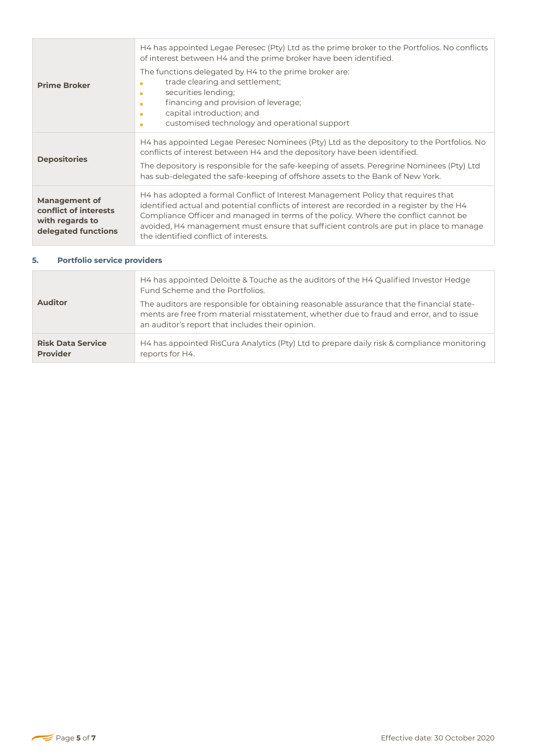| <b>Prime Broker</b>                                                                     | H4 has appointed Legae Peresec (Pty) Ltd as the prime broker to the Portfolios. No conflicts<br>of interest between H4 and the prime broker have been identified.<br>The functions delegated by H4 to the prime broker are:<br>trade clearing and settlement;<br>×<br>securities lending;<br>×<br>financing and provision of leverage;<br><b>CO</b><br>capital introduction; and<br>×<br>customised technology and operational support<br>× |
|-----------------------------------------------------------------------------------------|---------------------------------------------------------------------------------------------------------------------------------------------------------------------------------------------------------------------------------------------------------------------------------------------------------------------------------------------------------------------------------------------------------------------------------------------|
| <b>Depositories</b>                                                                     | H4 has appointed Legae Peresec Nominees (Pty) Ltd as the depository to the Portfolios. No<br>conflicts of interest between H4 and the depository have been identified.<br>The depository is responsible for the safe-keeping of assets. Peregrine Nominees (Pty) Ltd<br>has sub-delegated the safe-keeping of offshore assets to the Bank of New York.                                                                                      |
| <b>Management of</b><br>conflict of interests<br>with regards to<br>delegated functions | H4 has adopted a formal Conflict of Interest Management Policy that requires that<br>identified actual and potential conflicts of interest are recorded in a register by the H4<br>Compliance Officer and managed in terms of the policy. Where the conflict cannot be<br>avoided, H4 management must ensure that sufficient controls are put in place to manage<br>the identified conflict of interests.                                   |

## **5. Portfolio service providers**

| <b>Auditor</b>           | H4 has appointed Deloitte & Touche as the auditors of the H4 Qualified Investor Hedge<br>Fund Scheme and the Portfolios.<br>The auditors are responsible for obtaining reasonable assurance that the financial state-<br>ments are free from material misstatement, whether due to fraud and error, and to issue<br>an auditor's report that includes their opinion. |
|--------------------------|----------------------------------------------------------------------------------------------------------------------------------------------------------------------------------------------------------------------------------------------------------------------------------------------------------------------------------------------------------------------|
| <b>Risk Data Service</b> | H4 has appointed RisCura Analytics (Pty) Ltd to prepare daily risk & compliance monitoring                                                                                                                                                                                                                                                                           |
| <b>Provider</b>          | reports for H4.                                                                                                                                                                                                                                                                                                                                                      |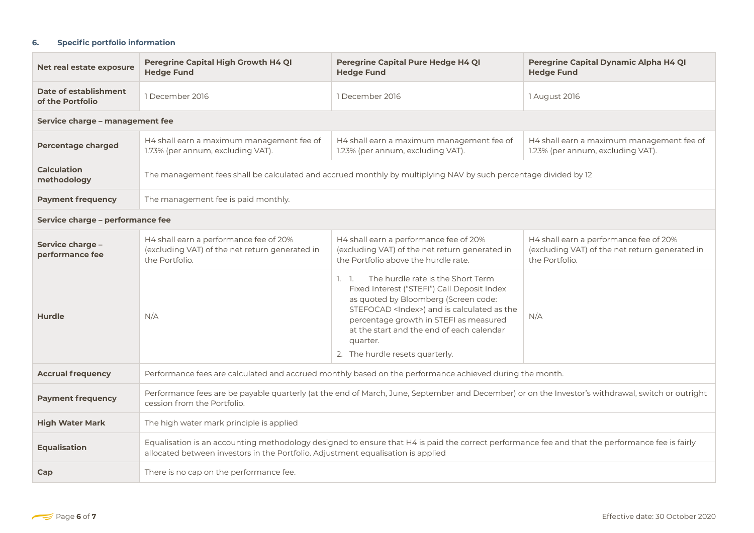### **6. Specific portfolio information**

| Net real estate exposure                  | Peregrine Capital High Growth H4 QI<br><b>Hedge Fund</b>                                                                                                                                                                            | Peregrine Capital Pure Hedge H4 QI<br><b>Hedge Fund</b>                                                                                                                                                                                                                                                                          | Peregrine Capital Dynamic Alpha H4 QI<br><b>Hedge Fund</b>                                                 |  |
|-------------------------------------------|-------------------------------------------------------------------------------------------------------------------------------------------------------------------------------------------------------------------------------------|----------------------------------------------------------------------------------------------------------------------------------------------------------------------------------------------------------------------------------------------------------------------------------------------------------------------------------|------------------------------------------------------------------------------------------------------------|--|
| Date of establishment<br>of the Portfolio | 1 December 2016                                                                                                                                                                                                                     | 1 December 2016                                                                                                                                                                                                                                                                                                                  | 1 August 2016                                                                                              |  |
| Service charge - management fee           |                                                                                                                                                                                                                                     |                                                                                                                                                                                                                                                                                                                                  |                                                                                                            |  |
| <b>Percentage charged</b>                 | H4 shall earn a maximum management fee of<br>1.73% (per annum, excluding VAT).                                                                                                                                                      | H4 shall earn a maximum management fee of<br>1.23% (per annum, excluding VAT).                                                                                                                                                                                                                                                   | H4 shall earn a maximum management fee of<br>1.23% (per annum, excluding VAT).                             |  |
| <b>Calculation</b><br>methodology         | The management fees shall be calculated and accrued monthly by multiplying NAV by such percentage divided by 12                                                                                                                     |                                                                                                                                                                                                                                                                                                                                  |                                                                                                            |  |
| <b>Payment frequency</b>                  | The management fee is paid monthly.                                                                                                                                                                                                 |                                                                                                                                                                                                                                                                                                                                  |                                                                                                            |  |
| Service charge - performance fee          |                                                                                                                                                                                                                                     |                                                                                                                                                                                                                                                                                                                                  |                                                                                                            |  |
| Service charge -<br>performance fee       | H4 shall earn a performance fee of 20%<br>(excluding VAT) of the net return generated in<br>the Portfolio.                                                                                                                          | H4 shall earn a performance fee of 20%<br>(excluding VAT) of the net return generated in<br>the Portfolio above the hurdle rate.                                                                                                                                                                                                 | H4 shall earn a performance fee of 20%<br>(excluding VAT) of the net return generated in<br>the Portfolio. |  |
| <b>Hurdle</b>                             | N/A                                                                                                                                                                                                                                 | The hurdle rate is the Short Term<br>1.1.<br>Fixed Interest ("STEFI") Call Deposit Index<br>as quoted by Bloomberg (Screen code:<br>STEFOCAD <index>) and is calculated as the<br/>percentage growth in STEFI as measured<br/>at the start and the end of each calendar<br/>quarter.<br/>2. The hurdle resets quarterly.</index> | N/A                                                                                                        |  |
| <b>Accrual frequency</b>                  | Performance fees are calculated and accrued monthly based on the performance achieved during the month.                                                                                                                             |                                                                                                                                                                                                                                                                                                                                  |                                                                                                            |  |
| <b>Payment frequency</b>                  | Performance fees are be payable quarterly (at the end of March, June, September and December) or on the Investor's withdrawal, switch or outright<br>cession from the Portfolio.                                                    |                                                                                                                                                                                                                                                                                                                                  |                                                                                                            |  |
| <b>High Water Mark</b>                    | The high water mark principle is applied                                                                                                                                                                                            |                                                                                                                                                                                                                                                                                                                                  |                                                                                                            |  |
| <b>Equalisation</b>                       | Equalisation is an accounting methodology designed to ensure that H4 is paid the correct performance fee and that the performance fee is fairly<br>allocated between investors in the Portfolio. Adjustment equalisation is applied |                                                                                                                                                                                                                                                                                                                                  |                                                                                                            |  |
| Cap                                       | There is no cap on the performance fee.                                                                                                                                                                                             |                                                                                                                                                                                                                                                                                                                                  |                                                                                                            |  |